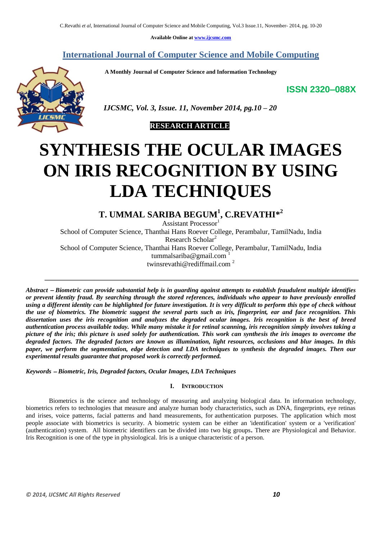**Available Online at www.ijcsmc.com**

**International Journal of Computer Science and Mobile Computing**

 **A Monthly Journal of Computer Science and Information Technology**

**ISSN 2320–088X**



 *IJCSMC, Vol. 3, Issue. 11, November 2014, pg.10 – 20*

 **RESEARCH ARTICLE**

# **SYNTHESIS THE OCULAR IMAGES ON IRIS RECOGNITION BY USING LDA TECHNIQUES**

**T. UMMAL SARIBA BEGUM<sup>1</sup> , C.REVATHI\*<sup>2</sup>**

Assistant Processor<sup>1</sup> School of Computer Science, Thanthai Hans Roever College, Perambalur, TamilNadu, India Research Scholar<sup>2</sup> School of Computer Science, Thanthai Hans Roever College, Perambalur, TamilNadu, India tummalsariba@gmail.com twinsrevathi@rediffmail.com <sup>2</sup>

*Abstract Biometric can provide substantial help is in guarding against attempts to establish fraudulent multiple identifies or prevent identity fraud. By searching through the stored references, individuals who appear to have previously enrolled using a different identity can be highlighted for future investigation. It is very difficult to perform this type of check without the use of biometrics. The biometric suggest the several parts such as iris, fingerprint, ear and face recognition. This dissertation uses the iris recognition and analyzes the degraded ocular images. Iris recognition is the best of breed authentication process available today. While many mistake it for retinal scanning, iris recognition simply involves taking a picture of the iris; this picture is used solely for authentication. This work can synthesis the iris images to overcome the degraded factors. The degraded factors are known as illumination, light resources, occlusions and blur images. In this paper, we perform the segmentation, edge detection and LDA techniques to synthesis the degraded images. Then our experimental results guarantee that proposed work is correctly performed.*

*Keywords Biometric, Iris, Degraded factors, Ocular Images, LDA Techniques*

# **I. INTRODUCTION**

Biometrics is the science and technology of measuring and analyzing biological data. In information technology, biometrics refers to technologies that measure and analyze human body characteristics, such as DNA, fingerprints, eye retinas and irises, voice patterns, facial patterns and hand measurements, for authentication purposes. The application which most people associate with biometrics is security. A biometric system can be either an 'identification' system or a 'verification' (authentication) system. All biometric identifiers can be divided into two big groups**.** There are Physiological and Behavior. Iris Recognition is one of the type in physiological. Iris is a unique characteristic of a person.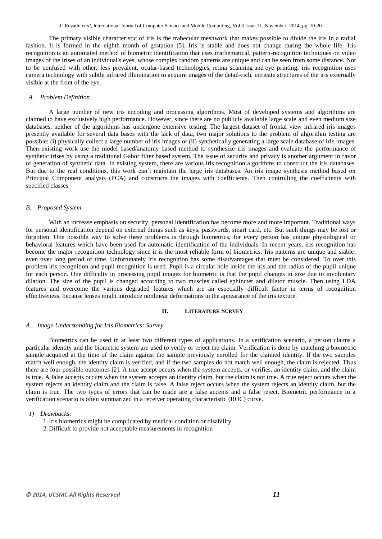The primary visible characteristic of iris is the trabecular meshwork that makes possible to divide the iris in a radial fashion. It is formed in the eighth month of gestation [5]. Iris is stable and does not change during the whole life. Iris recognition is an automated method of [biometric](http://en.wikipedia.org/wiki/Biometrics) identification that uses mathematical, pattern-recognition techniques on video images of the [irises](http://en.wikipedia.org/wiki/Iris_(anatomy)) of an individual's [eyes,](http://en.wikipedia.org/wiki/Human_eye) whose complex random patterns are unique and can be seen from some distance. Not to be confused with other, less prevalent, ocular-based technologies, [retina scanning](http://en.wikipedia.org/wiki/Retina_scan) and [eye printing,](http://en.wikipedia.org/wiki/Eye_vein_verification) iris recognition uses camera technology with subtle [infrared](http://en.wikipedia.org/wiki/Infrared) illumination to acquire images of the detail-rich, intricate structures of the iris externally visible at the front of the eye.

# *A. Problem Definition*

A large number of new iris encoding and processing algorithms. Most of developed systems and algorithms are claimed to have exclusively high performance. However, since there are no publicly available large scale and even medium size databases, neither of the algorithms has undergone extensive testing. The largest dataset of frontal view infrared iris images presently available for several data bases with the lack of data, two major solutions to the problem of algorithm testing are possible: (i) physically collect a large number of iris images or (ii) synthetically generating a large scale database of iris images. Then existing work use the model based/anatomy based method to synthesize iris images and evaluate the performance of synthetic irises by using a traditional Gabor filter based system. The issue of security and privacy is another argument in favor of generation of synthetic data. In existing system, there are various iris recognition algorithms to construct the iris databases. But due to the real conditions, this work can't maintain the large iris databases. An iris image synthesis method based on Principal Component analysis (PCA) and constructs the images with coefficients. Then controlling the coefficients with specified classes

## *B. Proposed System*

With an increase emphasis on security, personal identification has become more and more important. Traditional ways for personal identification depend on external things such as keys, passwords, smart card, etc. But such things may be lost or forgotten. One possible way to solve these problems is through biometrics, for every person has unique physiological or behavioral features which have been used for automatic identification of the individuals. In recent years, iris recognition has become the major recognition technology since it is the most reliable form of biometrics. Iris patterns are unique and stable, even over long period of time. Unfortunately iris recognition has some disadvantages that must be considered. To over this problem iris recognition and pupil recognition is used. Pupil is a circular hole inside the iris and the radius of the pupil unique for each person. One difficulty in processing pupil images for biometric is that the pupil changes in size due to involuntary dilation. The size of the pupil is changed according to two muscles called sphincter and dilator muscle. Then using LDA features and overcome the various degraded features which are an especially difficult factor in terms of recognition effectiveness, because lenses might introduce nonlinear deformations in the appearance of the iris texture.

# **II. LITERATURE SURVEY**

# *A. Image Understanding for Iris Biometrics: Survey*

Biometrics can be used in at least two different types of applications. In a verification scenario, a person claims a particular identity and the biometric system are used to verify or reject the claim. Verification is done by matching a biometric sample acquired at the time of the claim against the sample previously enrolled for the claimed identity. If the two samples match well enough, the identity claim is verified, and if the two samples do not match well enough, the claim is rejected. Thus there are four possible outcomes [2]. A true accept occurs when the system accepts, or verifies, an identity claim, and the claim is true. A false accepts occurs when the system accepts an identity claim, but the claim is not true. A true reject occurs when the system rejects an identity claim and the claim is false. A false reject occurs when the system rejects an identity claim, but the claim is true. The two types of errors that can be made are a false accepts and a false reject. Biometric performance in a verification scenario is often summarized in a receiver operating characteristic (ROC) curve.

#### *1) Drawbacks:*

- 1.Iris biometrics might be complicated by medical condition or disability.
- 2. Difficult to provide not acceptable measurements in recognition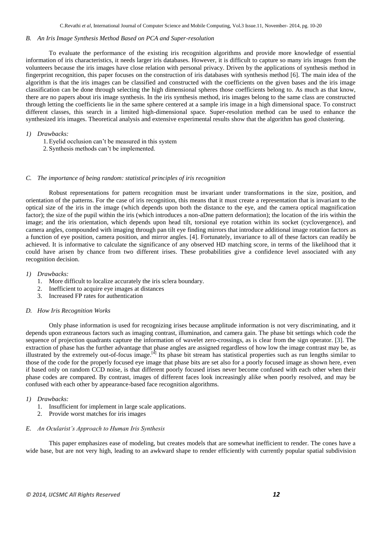C.Revathi *et al*, International Journal of Computer Science and Mobile Computing, Vol.3 Issue.11, November- 2014, pg. 10-20

# *B. An Iris Image Synthesis Method Based on PCA and Super-resolution*

To evaluate the performance of the existing iris recognition algorithms and provide more knowledge of essential information of iris characteristics, it needs larger iris databases. However, it is difficult to capture so many iris images from the volunteers because the iris images have close relation with personal privacy. Driven by the applications of synthesis method in fingerprint recognition, this paper focuses on the construction of iris databases with synthesis method [6]. The main idea of the algorithm is that the iris images can be classified and constructed with the coefficients on the given bases and the iris image classification can be done through selecting the high dimensional spheres those coefficients belong to. As much as that know, there are no papers about iris image synthesis. In the iris synthesis method, iris images belong to the same class are constructed through letting the coefficients lie in the same sphere centered at a sample iris image in a high dimensional space. To construct different classes, this search in a limited high-dimensional space. Super-resolution method can be used to enhance the synthesized iris images. Theoretical analysis and extensive experimental results show that the algorithm has good clustering.

## *1) Drawbacks:*

- 1.Eyelid occlusion can't be measured in this system
- 2. Synthesis methods can't be implemented.

# *C. The importance of being random: statistical principles of iris recognition*

Robust representations for pattern recognition must be invariant under transformations in the size, position, and orientation of the patterns. For the case of iris recognition, this means that it must create a representation that is invariant to the optical size of the iris in the image (which depends upon both the distance to the eye, and the camera optical magnification factor); the size of the pupil within the iris (which introduces a non-aDne pattern deformation); the location of the iris within the image; and the iris orientation, which depends upon head tilt, torsional eye rotation within its socket (cyclovergence), and camera angles, compounded with imaging through pan tilt eye finding mirrors that introduce additional image rotation factors as a function of eye position, camera position, and mirror angles. [4]. Fortunately, invariance to all of these factors can readily be achieved. It is informative to calculate the significance of any observed HD matching score, in terms of the likelihood that it could have arisen by chance from two different irises. These probabilities give a confidence level associated with any recognition decision.

## *1) Drawbacks:*

- 1. More difficult to localize accurately the iris sclera boundary.
- 2. Inefficient to acquire eye images at distances
- 3. Increased FP rates for authentication

# *D. How Iris Recognition Works*

Only phase information is used for recognizing irises because amplitude information is not very discriminating, and it depends upon extraneous factors such as imaging contrast, illumination, and camera gain. The phase bit settings which code the sequence of projection quadrants capture the information of wavelet zero-crossings, as is clear from the sign operator. [3]. The extraction of phase has the further advantage that phase angles are assigned regardless of how low the image contrast may be, as illustrated by the extremely out-of-focus image.<sup>[4]</sup> Its phase bit stream has statistical properties such as run lengths similar to those of the code for the properly focused eye image that phase bits are set also for a poorly focused image as shown here, even if based only on random CCD noise, is that different poorly focused irises never become confused with each other when their phase codes are compared. By contrast, images of different faces look increasingly alike when poorly resolved, and may be confused with each other by appearance-based face recognition algorithms.

### *1) Drawbacks:*

- 1. Insufficient for implement in large scale applications.
- 2. Provide worst matches for iris images

## *E. An Ocularist's Approach to Human Iris Synthesis*

This paper emphasizes ease of modeling, but creates models that are somewhat inefficient to render. The cones have a wide base, but are not very high, leading to an awkward shape to render efficiently with currently popular spatial subdivision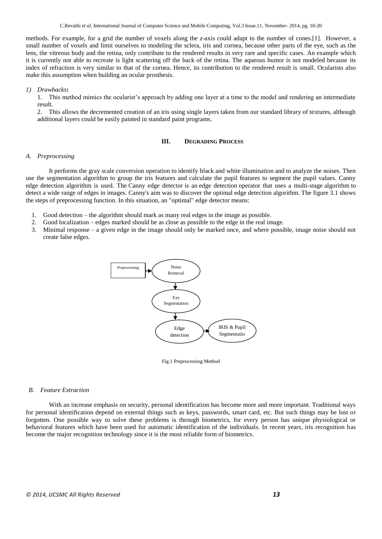methods. For example, for a grid the number of voxels along the *z*-axis could adapt to the number of cones.[1]. However, a small number of voxels and limit ourselves to modeling the sclera, iris and cornea, because other parts of the eye, such as the lens, the vitreous body and the retina, only contribute to the rendered results in very rare and specific cases. An example which it is currently not able to recreate is light scattering off the back of the retina. The aqueous humor is not modeled because its index of refraction is very similar to that of the cornea. Hence, its contribution to the rendered result is small. Ocularists also make this assumption when building an ocular prosthesis.

#### *1) Drawbacks***:**

1. This method mimics the ocularist's approach by adding one layer at a time to the model and rendering an intermediate result.

2. This allows the decremented creation of an iris using single layers taken from our standard library of textures, although additional layers could be easily painted in standard paint programs.

## **III. DEGRADING PROCESS**

## *A. Preprocessing*

It performs the gray scale conversion operation to identify black and white illumination and to analyze the noises. Then use the segmentation algorithm to group the iris features and calculate the pupil features to segment the pupil values. Canny edge detection algorithm is used. The Canny edge detector is an [edge detection](http://en.wikipedia.org/wiki/Edge_detection) operator that uses a multi-stage [algorithm](http://en.wikipedia.org/wiki/Algorithm) to detect a wide range of edges in images. Canny's aim was to discover the optimal edge detection algorithm. The figure 3.1 shows the steps of preprocessing function. In this situation, an "optimal" edge detector means:

- 1. Good detection the algorithm should mark as many real edges in the image as possible.
- 2. Good localization edges marked should be as close as possible to the edge in the real image.
- 3. Minimal response a given edge in the image should only be marked once, and where possible, image noise should not create false edges.



Fig.1 Preprocessing Method

# *B. Feature Extraction*

With an increase emphasis on security, personal identification has become more and more important. Traditional ways for personal identification depend on external things such as keys, passwords, smart card, etc. But such things may be lost or forgotten. One possible way to solve these problems is through biometrics, for every person has unique physiological or behavioral features which have been used for automatic identification of the individuals. In recent years, iris recognition has become the major recognition technology since it is the most reliable form of biometrics.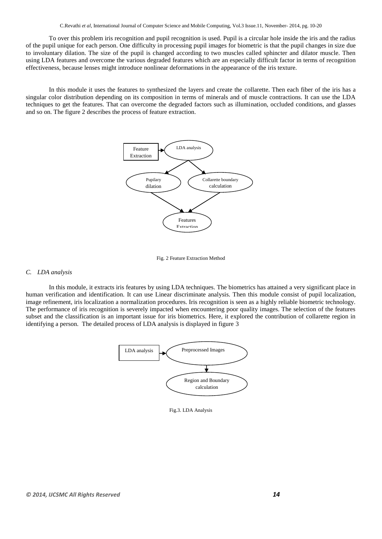To over this problem iris recognition and pupil recognition is used. Pupil is a circular hole inside the iris and the radius of the pupil unique for each person. One difficulty in processing pupil images for biometric is that the pupil changes in size due to involuntary dilation. The size of the pupil is changed according to two muscles called sphincter and dilator muscle. Then using LDA features and overcome the various degraded features which are an especially difficult factor in terms of recognition effectiveness, because lenses might introduce nonlinear deformations in the appearance of the iris texture.

In this module it uses the features to synthesized the layers and create the collarette. Then each fiber of the iris has a singular color distribution depending on its composition in terms of minerals and of muscle contractions. It can use the LDA techniques to get the features. That can overcome the degraded factors such as illumination, occluded conditions, and glasses and so on. The figure 2 describes the process of feature extraction.





#### *C. LDA analysis*

In this module, it extracts iris features by using LDA techniques. The biometrics has attained a very significant place in human verification and identification. It can use Linear discriminate analysis. Then this module consist of pupil localization, image refinement, iris localization a normalization procedures. Iris recognition is seen as a highly reliable biometric technology. The performance of iris recognition is severely impacted when encountering poor quality images. The selection of the features subset and the classification is an important issue for iris biometrics. Here, it explored the contribution of collarette region in identifying a person. The detailed process of LDA analysis is displayed in figure 3



Fig.3. LDA Analysis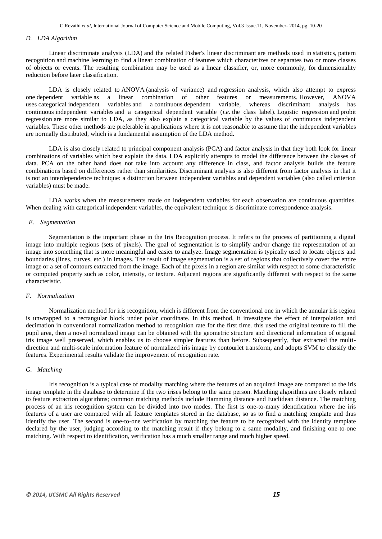# *D. LDA Algorithm*

Linear discriminate analysis (LDA) and the related Fisher's linear discriminant are methods used in [statistics,](http://en.wikipedia.org/wiki/Statistics) [pattern](http://en.wikipedia.org/wiki/Pattern_recognition)  [recognition](http://en.wikipedia.org/wiki/Pattern_recognition) and [machine learning](http://en.wikipedia.org/wiki/Machine_learning) to find a [linear combination](http://en.wikipedia.org/wiki/Linear_combination) of [features](http://en.wikipedia.org/wiki/Features_(pattern_recognition)) which characterizes or separates two or more classes of objects or events. The resulting combination may be used as a [linear classifier,](http://en.wikipedia.org/wiki/Linear_classifier) or, more commonly, for [dimensionality](http://en.wikipedia.org/wiki/Dimensionality_reduction)  [reduction](http://en.wikipedia.org/wiki/Dimensionality_reduction) before later [classification.](http://en.wikipedia.org/wiki/Statistical_classification)

LDA is closely related to [ANOVA](http://en.wikipedia.org/wiki/ANOVA) (analysis of variance) and [regression analysis,](http://en.wikipedia.org/wiki/Regression_analysis) which also attempt to express one [dependent variable](http://en.wikipedia.org/wiki/Dependent_variable) as a linear combination of other features or measurements. However, ANOVA uses categorical independent variables and a continuous dependent variable, whereas discriminant analysis has uses [categorical](http://en.wikipedia.org/wiki/Categorical_variable) [independent variables](http://en.wikipedia.org/wiki/Independent_variables) and a [continuous](http://en.wikipedia.org/wiki/Continuous_variable) [dependent variable,](http://en.wikipedia.org/wiki/Dependent_variable) whereas discriminant analysis has continuous [independent variables](http://en.wikipedia.org/wiki/Independent_variables) and a categorical dependent variable (*i.e.* the class label). [Logistic regression](http://en.wikipedia.org/wiki/Logistic_regression) and [probit](http://en.wikipedia.org/wiki/Probit_regression)  [regression](http://en.wikipedia.org/wiki/Probit_regression) are more similar to LDA, as they also explain a categorical variable by the values of continuous independent variables. These other methods are preferable in applications where it is not reasonable to assume that the independent variables are normally distributed, which is a fundamental assumption of the LDA method.

LDA is also closely related to [principal component analysis](http://en.wikipedia.org/wiki/Principal_component_analysis) (PCA) and [factor analysis](http://en.wikipedia.org/wiki/Factor_analysis) in that they both look for linear combinations of variables which best explain the data. LDA explicitly attempts to model the difference between the classes of data. PCA on the other hand does not take into account any difference in class, and factor analysis builds the feature combinations based on differences rather than similarities. Discriminant analysis is also different from factor analysis in that it is not an interdependence technique: a distinction between independent variables and dependent variables (also called criterion variables) must be made.

LDA works when the measurements made on independent variables for each observation are continuous quantities. When dealing with categorical independent variables, the equivalent technique is [discriminate correspondence analysis.](http://en.wikipedia.org/w/index.php?title=Discriminant_correspondence_analysis&action=edit&redlink=1)

# *E. Segmentation*

Segmentation is the important phase in the Iris Recognition process. It refers to the process of partitioning a digital image into multiple regions (sets of pixels). The goal of segmentation is to simplify and/or change the representation of an image into something that is more meaningful and easier to analyze. Image segmentation is typically used to locate objects and boundaries (lines, curves, etc.) in images. The result of image segmentation is a set of regions that collectively cover the entire image or a set of contours extracted from the image. Each of the pixels in a region are similar with respect to some characteristic or computed property such as color, intensity, or texture. Adjacent regions are significantly different with respect to the same characteristic.

#### *F. Normalization*

Normalization method for iris recognition, which is different from the conventional one in which the annular iris region is unwrapped to a rectangular block under polar coordinate. In this method, it investigate the effect of interpolation and decimation in conventional normalization method to recognition rate for the first time. this used the original texture to fill the pupil area, then a novel normalized image can be obtained with the geometric structure and directional information of original iris image well preserved, which enables us to choose simpler features than before. Subsequently, that extracted the multidirection and multi-scale information feature of normalized iris image by contourlet transform, and adopts SVM to classify the features. Experimental results validate the improvement of recognition rate.

## *G. Matching*

Iris recognition is a typical case of modality matching where the features of an acquired image are compared to the iris image template in the database to determine if the two irises belong to the same person. Matching algorithms are closely related to feature extraction algorithms; common matching methods include Hamming distance and Euclidean distance. The matching process of an iris recognition system can be divided into two modes. The first is one-to-many identification where the iris features of a user are compared with all feature templates stored in the database, so as to find a matching template and thus identify the user. The second is one-to-one verification by matching the feature to be recognized with the identity template declared by the user, judging according to the matching result if they belong to a same modality, and finishing one-to-one matching. With respect to identification, verification has a much smaller range and much higher speed.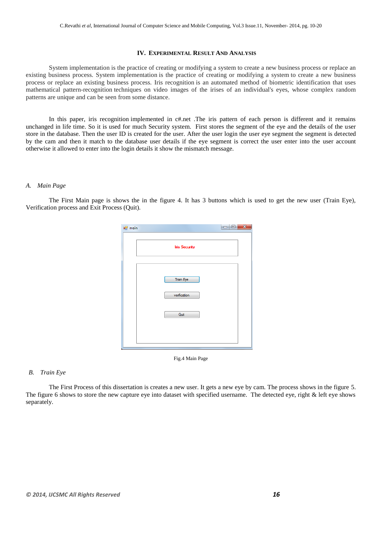## **IV. EXPERIMENTAL RESULT AND ANALYSIS**

System implementation is the practice of creating or modifying a system to create a new business process or replace an existing business process. System implementation is the practice of creating or modifying a system to create a new business process or replace an existing business process. Iris recognition is an automated method of biometric identification that uses mathematical pattern-recognition techniques on video images of the irises of an individual's eyes, whose complex random patterns are unique and can be seen from some distance.

In this paper, iris recognition implemented in c#.net .The iris pattern of each person is different and it remains unchanged in life time. So it is used for much Security system. First stores the segment of the eye and the details of the user store in the database. Then the user ID is created for the user. After the user login the user eye segment the segment is detected by the cam and then it match to the database user details if the eye segment is correct the user enter into the user account otherwise it allowed to enter into the login details it show the mismatch message.

# *A. Main Page*

The First Main page is shows the in the figure 4. It has 3 buttons which is used to get the new user (Train Eye), Verification process and Exit Process (Quit).

| all main |                      | X<br>▣<br>▭ |
|----------|----------------------|-------------|
|          | <b>Iris Security</b> |             |
|          | Train Eye            |             |
|          | verification         |             |
|          | Quit                 |             |
|          |                      |             |

Fig.4 Main Page

## *B. Train Eye*

The First Process of this dissertation is creates a new user. It gets a new eye by cam. The process shows in the figure 5. The figure 6 shows to store the new capture eye into dataset with specified username. The detected eye, right & left eye shows separately.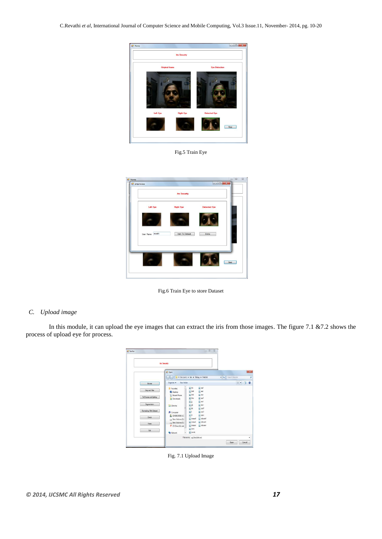

Fig.5 Train Eye

| <b>Iris Security</b> |                     |  |
|----------------------|---------------------|--|
| <b>Right Eye</b>     | <b>Detected Eye</b> |  |
|                      |                     |  |
| train To Dataset     | Home                |  |
|                      |                     |  |
|                      |                     |  |
|                      |                     |  |

Fig.6 Train Eye to store Dataset

# *C. Upload image*

In this module, it can upload the eye images that can extract the iris from those images. The figure 7.1 &7.2 shows the process of upload eye for process.

|                          | <b>Ins Security</b>                      |                                |                                      |      |                |           |
|--------------------------|------------------------------------------|--------------------------------|--------------------------------------|------|----------------|-----------|
|                          | <b>D</b> Open                            |                                |                                      |      |                | $-8 -$    |
|                          |                                          |                                | « Iris (cam) + bin + Debug + DataSet | $-4$ | Search DataSet | p         |
| Bouse                    | New folder<br>Organize -                 |                                |                                      |      | 8 → 日          | $\bullet$ |
| Gray and Filter          | <b>Sir</b> Favorites<br>Desktop          | E th<br>E Hd                   | $E$ rest<br>$k$ rest                 |      |                |           |
| PreProcess and Spliting  | <b>Recent Places</b><br><b>Downloads</b> | E HN<br>E Hy                   | $k$ resn<br>$E$ revf                 |      |                |           |
| Segmentation             | Libraries                                | 四川<br>四床                       | in revi<br><b>Circur</b>             |      |                |           |
| Normalizing With Dataset | ŧ<br>Computer                            | E ik<br>다                      | E sasif<br>$\equiv$ sasil            |      |                |           |
| <b>Check</b>             | S3A3913D002 (C:<br>Cia New Volume (E:)   | 図<br>manof                     | sasir<br>Vikramf                     |      |                |           |
| Home                     | New Volume (F:)<br>CD Drive (G) airt     | $\equiv$ manol<br>$\sum$ manor | Vikraml<br>$\equiv$ vikramr          |      |                |           |
| Quit                     | <b>Qu</b> Network                        | $\equiv$ mm<br>$\equiv$ mmk    |                                      |      |                |           |

Fig. 7.1 Upload Image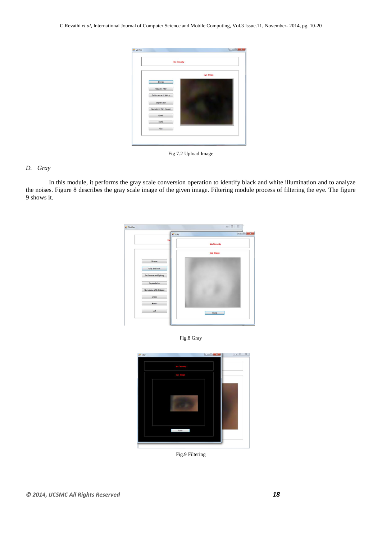

Fig 7.2 Upload Image

*D. Gray*

In this module, it performs the gray scale conversion operation to identify black and white illumination and to analyze the noises. Figure 8 describes the gray scale image of the given image. Filtering module process of filtering the eye. The figure 9 shows it.



Fig.8 Gray



Fig.9 Filtering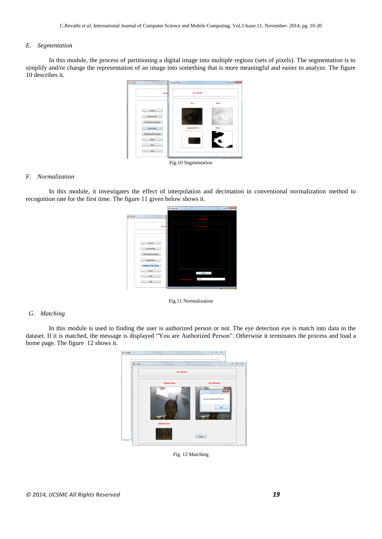# *E. Segmentation*

In this module, the process of partitioning a digital image into multiple regions (sets of pixels). The segmentation is to simplify and/or change the representation of an image into something that is more meaningful and easier to analyze. The figure 10 describes it.



#### Fig.10 Segmentation

# *F. Normalization*

In this module, it investigates the effect of interpolation and decimation in conventional normalization method to recognition rate for the first time. The figure 11 given below shows it.



Fig.11 Normalization

# *G. Matching*

In this module is used to finding the user is authorized person or not. The eye detection eye is match into data in the dataset. If it is matched, the message is displayed "You are Authorized Person". Otherwise it terminates the process and load a home page. The figure 12 shows it.



Fig. 12 Matching